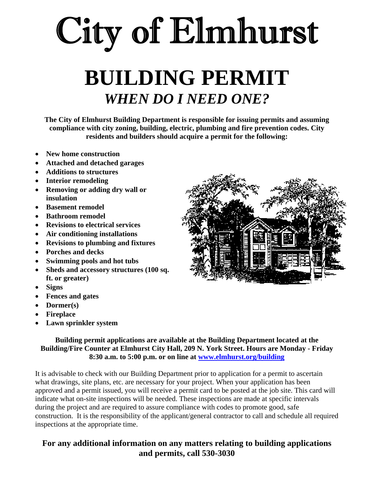# City of Elmhurst

## **BUILDING PERMIT**  *WHEN DO I NEED ONE?*

**The City of Elmhurst Building Department is responsible for issuing permits and assuming compliance with city zoning, building, electric, plumbing and fire prevention codes. City residents and builders should acquire a permit for the following:** 

- **New home construction**
- **Attached and detached garages**
- **Additions to structures**
- **Interior remodeling**
- **Removing or adding dry wall or insulation**
- **Basement remodel**
- **Bathroom remodel**
- **Revisions to electrical services**
- **Air conditioning installations**
- **Revisions to plumbing and fixtures**
- **Porches and decks**
- **Swimming pools and hot tubs**
- **Sheds and accessory structures (100 sq. ft. or greater)**
- **Signs**
- **Fences and gates**
- **Dormer(s)**
- **Fireplace**
- **Lawn sprinkler system**

**Building permit applications are available at the Building Department located at the Building/Fire Counter at Elmhurst City Hall, 209 N. York Street. Hours are Monday - Friday 8:30 a.m. to 5:00 p.m. or on line at www.elmhurst.org/building**

It is advisable to check with our Building Department prior to application for a permit to ascertain what drawings, site plans, etc. are necessary for your project. When your application has been approved and a permit issued, you will receive a permit card to be posted at the job site. This card will indicate what on-site inspections will be needed. These inspections are made at specific intervals during the project and are required to assure compliance with codes to promote good, safe construction. It is the responsibility of the applicant/general contractor to call and schedule all required inspections at the appropriate time.

#### **For any additional information on any matters relating to building applications and permits, call 530-3030**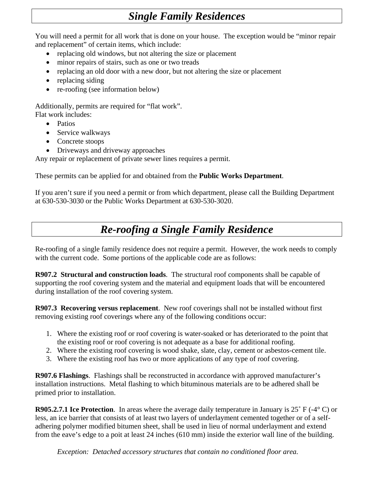### *Single Family Residences*

You will need a permit for all work that is done on your house. The exception would be "minor repair and replacement" of certain items, which include:

- replacing old windows, but not altering the size or placement
- minor repairs of stairs, such as one or two treads
- replacing an old door with a new door, but not altering the size or placement
- replacing siding
- re-roofing (see information below)

Additionally, permits are required for "flat work". Flat work includes:

- Patios
- Service walkways
- Concrete stoops
- Driveways and driveway approaches

Any repair or replacement of private sewer lines requires a permit.

These permits can be applied for and obtained from the **Public Works Department**.

If you aren't sure if you need a permit or from which department, please call the Building Department at 630-530-3030 or the Public Works Department at 630-530-3020.

#### *Re-roofing a Single Family Residence*

Re-roofing of a single family residence does not require a permit. However, the work needs to comply with the current code. Some portions of the applicable code are as follows:

**R907.2 Structural and construction loads**. The structural roof components shall be capable of supporting the roof covering system and the material and equipment loads that will be encountered during installation of the roof covering system.

**R907.3 Recovering versus replacement**. New roof coverings shall not be installed without first removing existing roof coverings where any of the following conditions occur:

- 1. Where the existing roof or roof covering is water-soaked or has deteriorated to the point that the existing roof or roof covering is not adequate as a base for additional roofing.
- 2. Where the existing roof covering is wood shake, slate, clay, cement or asbestos-cement tile.
- 3. Where the existing roof has two or more applications of any type of roof covering.

**R907.6 Flashings**. Flashings shall be reconstructed in accordance with approved manufacturer's installation instructions. Metal flashing to which bituminous materials are to be adhered shall be primed prior to installation.

**R905.2.7.1 Ice Protection**. In areas where the average daily temperature in January is 25˚ F (-4° C) or less, an ice barrier that consists of at least two layers of underlayment cemented together or of a selfadhering polymer modified bitumen sheet, shall be used in lieu of normal underlayment and extend from the eave's edge to a poit at least 24 inches (610 mm) inside the exterior wall line of the building.

 *Exception: Detached accessory structures that contain no conditioned floor area.*